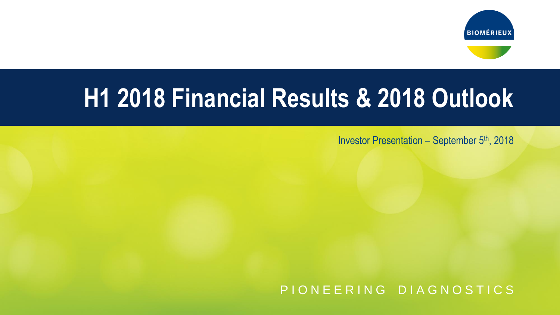



## **H1 2018 Financial Results & 2018 Outlook**

Investor Presentation – September 5th, 2018

P I O N E E R I N G D I A G N O S T I C S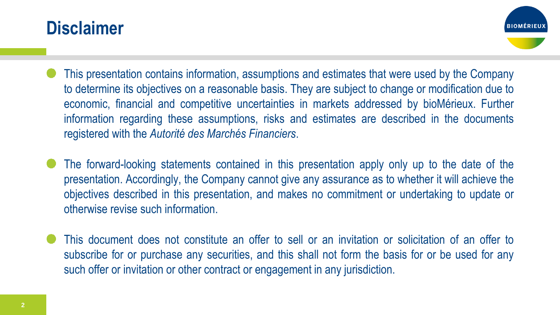#### **Disclaimer**



- This presentation contains information, assumptions and estimates that were used by the Company to determine its objectives on a reasonable basis. They are subject to change or modification due to economic, financial and competitive uncertainties in markets addressed by bioMérieux. Further information regarding these assumptions, risks and estimates are described in the documents registered with the *Autorité des Marchés Financiers*.
- The forward-looking statements contained in this presentation apply only up to the date of the presentation. Accordingly, the Company cannot give any assurance as to whether it will achieve the objectives described in this presentation, and makes no commitment or undertaking to update or otherwise revise such information.
- This document does not constitute an offer to sell or an invitation or solicitation of an offer to subscribe for or purchase any securities, and this shall not form the basis for or be used for any such offer or invitation or other contract or engagement in any jurisdiction.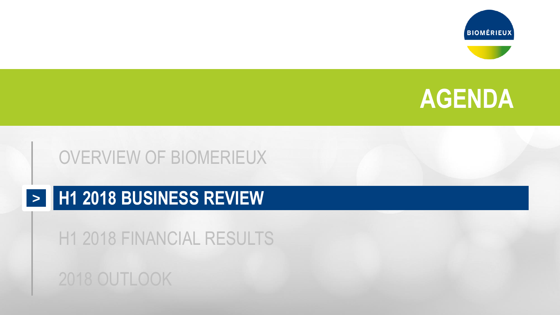





#### OVERVIEW OF BIOMERIEUX

#### **H1 2018 BUSINESS REVIEW >**

H1 2018 FINANCIAL RESULTS

#### 2018 OUTLOOK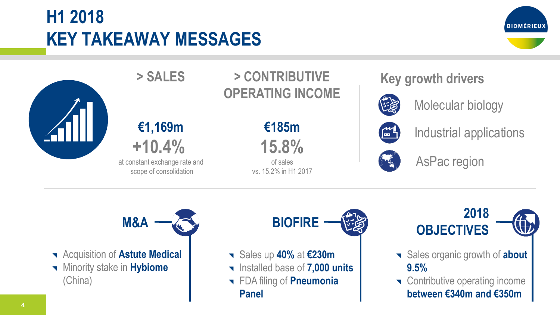### **H1 2018 KEY TAKEAWAY MESSAGES**





**> SALES > CONTRIBUTIVE OPERATING INCOME**

**€1,169m +10.4%** 

at constant exchange rate and scope of consolidation

**€185m 15.8%** 

of sales vs. 15.2% in H1 2017 **Key growth drivers**



Molecular biology



Industrial applications



AsPac region



- **Requisition of Astute Medical**
- Minority stake in **Hybiome** (China)

- Sales up **40%** at **€230m**
- Installed base of **7,000 units**
- FDA filing of **Pneumonia Panel**



- 
- Sales organic growth of **about 9.5%**
- **T** Contributive operating income **between €340m and €350m**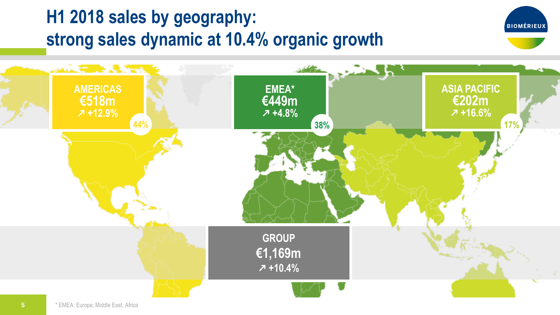#### **H1 2018 sales by geography: strong sales dynamic at 10.4% organic growth**



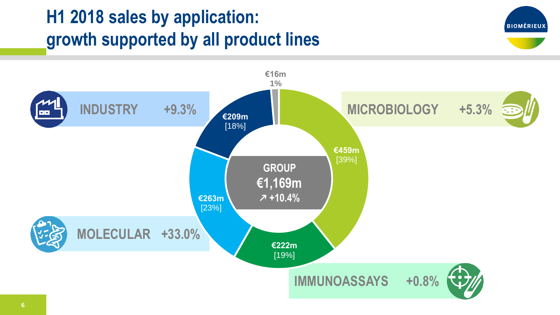## **H1 2018 sales by application: growth supported by all product lines**



**BIOMÉRIEUX**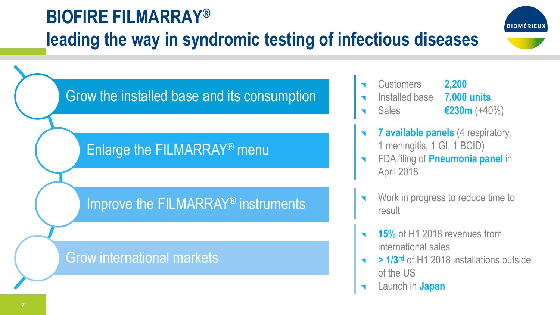## **BIOFIRE FILMARRAY® leading the way in syndromic testing of infectious diseases**



Grow the installed base and its consumption

#### Enlarge the FILMARRAY® menu

#### Improve the FILMARRAY® instruments

#### Grow international markets

- Customers **2,200**
- Installed base **7,000 units**
- Sales **€230m** (+40%)
- **7 available panels** (4 respiratory, 1 meningitis, 1 GI, 1 BCID)
- FDA filing of **Pneumonia panel** in April 2018
- Work in progress to reduce time to result
- **15%** of H1 2018 revenues from international sales
- **> 1/3rd** of H1 2018 installations outside of the US
- Launch in **Japan**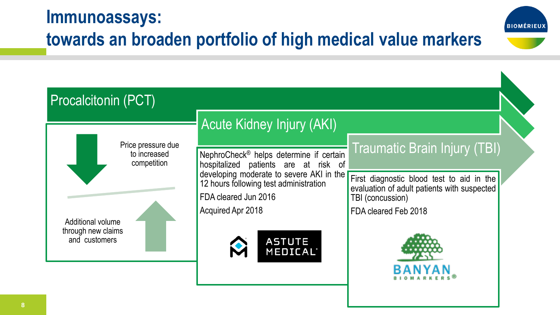#### **Immunoassays: towards an broaden portfolio of high medical value markers**



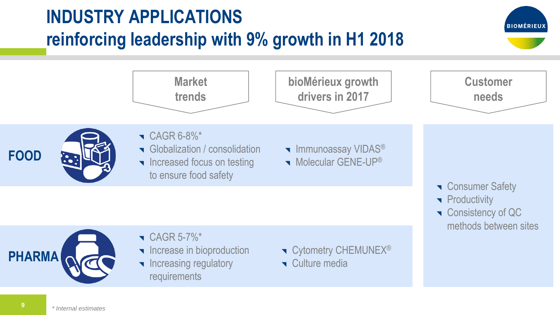## **INDUSTRY APPLICATIONS reinforcing leadership with 9% growth in H1 2018**

**BIOMÉRIEU** 

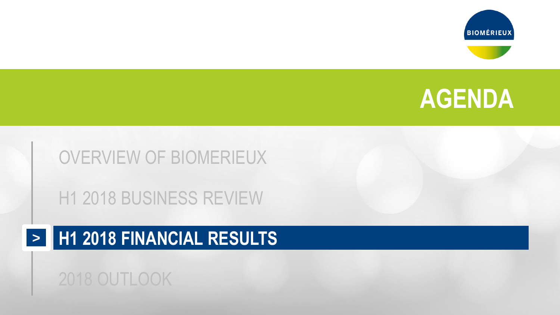





#### OVERVIEW OF BIOMERIEUX

H1 2018 BUSINESS REVIEW

#### **H1 2018 FINANCIAL RESULTS >**

#### 2018 OUTLOOK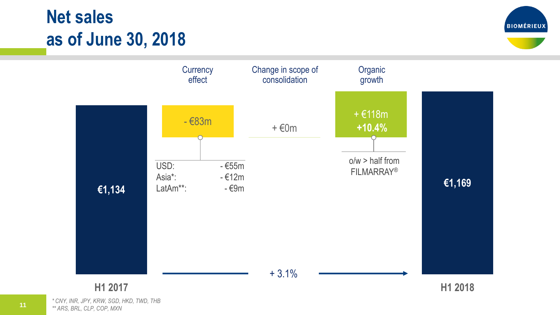#### **Net sales as of June 30, 2018**





*\* CNY, INR, JPY, KRW, SGD, HKD, TWD, THB \*\* ARS, BRL, CLP, COP, MXN*

**11**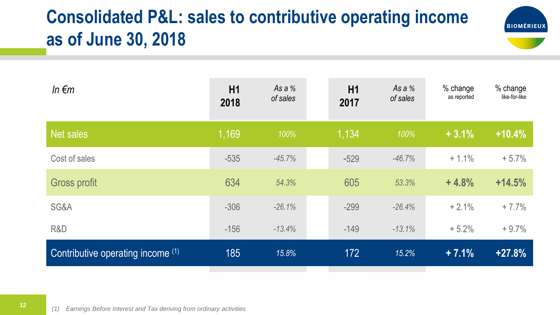## **Consolidated P&L: sales to contributive operating income as of June 30, 2018**



| In $\epsilon$ m                   | H1<br>2018 | As a %<br>of sales | H1<br>2017 | As a %<br>of sales | % change<br>as reported | % change<br>like-for-like |
|-----------------------------------|------------|--------------------|------------|--------------------|-------------------------|---------------------------|
| Net sales                         | 1,169      | 100%               | 1,134      | 100%               | $+3.1%$                 | $+10.4%$                  |
| Cost of sales                     | $-535$     | $-45.7%$           | $-529$     | $-46.7%$           | $+1.1%$                 | $+5.7%$                   |
| <b>Gross profit</b>               | 634        | 54.3%              | 605        | 53.3%              | $+4.8%$                 | $+14.5%$                  |
| SG&A                              | $-306$     | $-26.1%$           | $-299$     | $-26.4%$           | $+2.1%$                 | $+7.7%$                   |
| R&D                               | $-156$     | $-13.4%$           | $-149$     | $-13.1%$           | $+5.2%$                 | $+9.7%$                   |
| Contributive operating income (1) | 185        | 15.8%              | 172        | 15.2%              | $+7.1%$                 | $+27.8%$                  |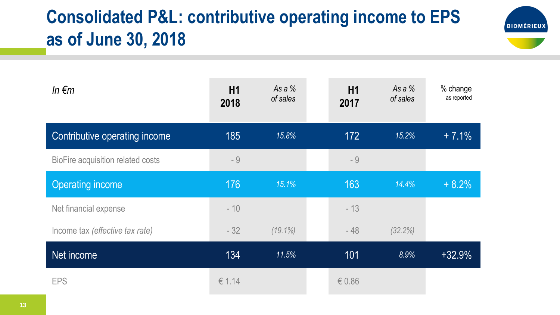## **Consolidated P&L: contributive operating income to EPS as of June 30, 2018**



| In $\epsilon$ m                   | H1<br>2018 | As a $%$<br>of sales | H1<br>2017 | As a %<br>of sales | % change<br>as reported |
|-----------------------------------|------------|----------------------|------------|--------------------|-------------------------|
| Contributive operating income     | 185        | 15.8%                | 172        | 15.2%              | $+7.1%$                 |
| BioFire acquisition related costs | - 9        |                      | - 9        |                    |                         |
| <b>Operating income</b>           | 176        | 15.1%                | 163        | 14.4%              | $+8.2%$                 |
| Net financial expense             | $-10$      |                      | $-13$      |                    |                         |
| Income tax (effective tax rate)   | $-32$      | $(19.1\%)$           | $-48$      | (32.2%)            |                         |
| Net income                        | 134        | 11.5%                | 101        | 8.9%               | $+32.9%$                |
| <b>EPS</b>                        | € 1.14     |                      | € $0.86$   |                    |                         |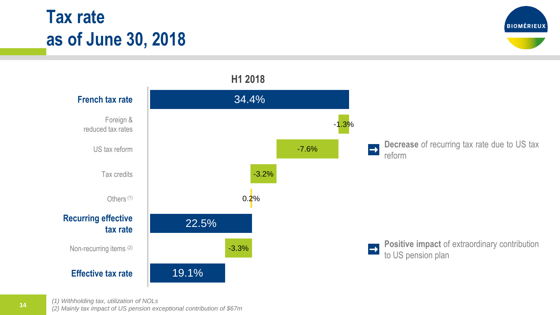#### **Tax rate as of June 30, 2018**





*(1) Withholding tax, utilization of NOLs*

*(2) Mainly tax impact of US pension exceptional contribution of \$67m*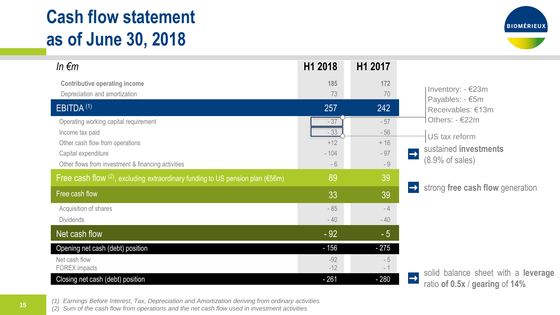#### **Cash flow statement as of June 30, 2018**



| In $\epsilon$ m                                                                                                                                                          | H1 2018                                   | H1 2017                                  |                                                                                               |  |  |
|--------------------------------------------------------------------------------------------------------------------------------------------------------------------------|-------------------------------------------|------------------------------------------|-----------------------------------------------------------------------------------------------|--|--|
| <b>Contributive operating income</b><br>Depreciation and amortization                                                                                                    | 185<br>73                                 | 172<br>70                                | Inventory: - €23m<br>Payables: - €5m                                                          |  |  |
| EBITDA <sup>(1)</sup>                                                                                                                                                    | 257                                       | 242                                      | Receivables: €13m                                                                             |  |  |
| Operating working capital requirement<br>Income tax paid<br>Other cash flow from operations<br>Capital expenditure<br>Other flows from investment & financing activities | $-37$<br>$-33$<br>$+12$<br>$-104$<br>$-6$ | $-57$<br>$-56$<br>$+16$<br>$-97$<br>$-9$ | Others: $-622m$<br>US tax reform<br>sustained investments<br>$\rightarrow$<br>(8.9% of sales) |  |  |
| Free cash flow $(2)$ , excluding extraordinary funding to US pension plan (€56m)                                                                                         | 89                                        | 39                                       | strong free cash flow generation<br>$\rightarrow$                                             |  |  |
| Free cash flow                                                                                                                                                           | 33                                        | 39                                       |                                                                                               |  |  |
| Acquisition of shares<br><b>Dividends</b>                                                                                                                                | $-85$<br>$-40$                            | $-4$<br>$-40$                            |                                                                                               |  |  |
| Net cash flow                                                                                                                                                            | $-92$                                     | $-5$                                     |                                                                                               |  |  |
| Opening net cash (debt) position<br>Net cash flow<br>FOREX impacts                                                                                                       | $-156$<br>$-92$<br>$-12$                  | $-275$<br>$-5$<br>$-1$                   |                                                                                               |  |  |
| Closing net cash (debt) position                                                                                                                                         | $-261$                                    | $-280$                                   | solid balance sheet with a leverage<br>$\rightarrow$<br>ratio of $0.5x /$ gearing of 14%      |  |  |

*(1) Earnings Before Interest, Tax, Depreciation and Amortization deriving from ordinary activities (2) Sum of the cash flow from operations and the net cash flow used in investment activities*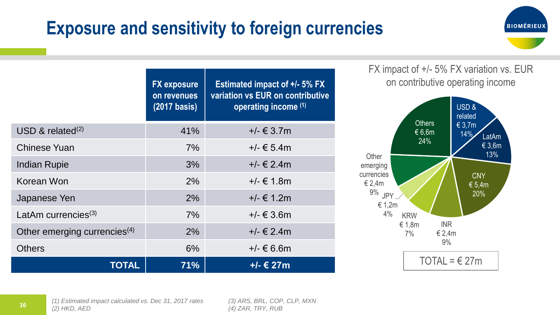#### **Exposure and sensitivity to foreign currencies**



**FX exposure on revenues (2017 basis) Estimated impact of +/- 5% FX variation vs EUR on contributive operating income (1)**  $\text{USD} \& \text{related}^{(2)}$  41%  $\text{41\%}$  +/-  $\in$  3.7m Chinese Yuan  $7\%$   $+/- \t5.4m$ Indian Rupie  $3\%$   $+/- \notin 2.4$ m Korean Won  $2\%$   $+/- \notin 1.8$ m Japanese Yen  $2\%$   $+/- \in 1.2m$ LatAm currencies<sup>(3)</sup>  $7\%$   $+/- \text{\textsterling}3.6m$ Other emerging currencies<sup>(4)</sup> 2%  $+/- \in 2.4$ m Others 6% +/- € 6.6m **TOTAL 71% +/- € 27m**

FX impact of +/- 5% FX variation vs. EUR on contributive operating income



*(3) ARS, BRL, COP, CLP, MXN (4) ZAR, TRY, RUB*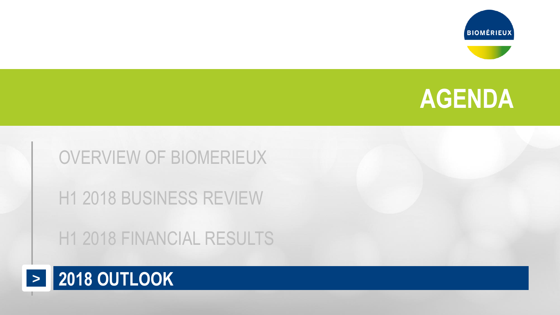





# OVERVIEW OF BIOMERIEUX H1 2018 BUSINESS REVIEW

H1 2018 FINANCIAL RESULTS

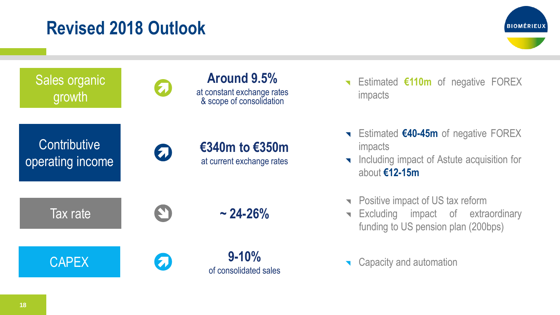#### **Revised 2018 Outlook**